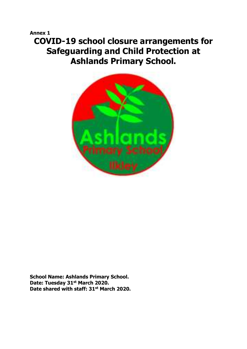# **Annex 1 COVID-19 school closure arrangements for Safeguarding and Child Protection at Ashlands Primary School.**



**School Name: Ashlands Primary School. Date: Tuesday 31st March 2020. Date shared with staff: 31st March 2020.**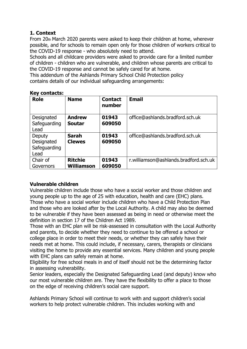# **1. Context**

From 20th March 2020 parents were asked to keep their children at home, wherever possible, and for schools to remain open only for those children of workers critical to the COVID-19 response - who absolutely need to attend.

Schools and all childcare providers were asked to provide care for a limited number of children - children who are vulnerable, and children whose parents are critical to the COVID-19 response and cannot be safely cared for at home.

This addendum of the Ashlands Primary School Child Protection policy contains details of our individual safeguarding arrangements:

| <b>Role</b>                                  | <b>Name</b>                         | <b>Contact</b><br>number | <b>Email</b>                          |
|----------------------------------------------|-------------------------------------|--------------------------|---------------------------------------|
| Designated<br>Safeguarding<br>Lead           | <b>Andrew</b><br><b>Soutar</b>      | 01943<br>609050          | office@ashlands.bradford.sch.uk       |
| Deputy<br>Designated<br>Safeguarding<br>Lead | <b>Sarah</b><br><b>Clewes</b>       | 01943<br>609050          | office@ashlands.bradford.sch.uk       |
| Chair of<br>Governors                        | <b>Ritchie</b><br><b>Williamson</b> | 01943<br>609050          | r.williamson@ashlands.bradford.sch.uk |

# **Key contacts:**

### **Vulnerable children**

Vulnerable children include those who have a social worker and those children and young people up to the age of 25 with education, health and care (EHC) plans. Those who have a social worker include children who have a Child Protection Plan and those who are looked after by the Local Authority. A child may also be deemed to be vulnerable if they have been assessed as being in need or otherwise meet the definition in section 17 of the Children Act 1989.

Those with an EHC plan will be risk-assessed in consultation with the Local Authority and parents, to decide whether they need to continue to be offered a school or college place in order to meet their needs, or whether they can safely have their needs met at home. This could include, if necessary, carers, therapists or clinicians visiting the home to provide any essential services. Many children and young people with EHC plans can safely remain at home.

Eligibility for free school meals in and of itself should not be the determining factor in assessing vulnerability.

Senior leaders, especially the Designated Safeguarding Lead (and deputy) know who our most vulnerable children are. They have the flexibility to offer a place to those on the edge of receiving children's social care support.

Ashlands Primary School will continue to work with and support children's social workers to help protect vulnerable children. This includes working with and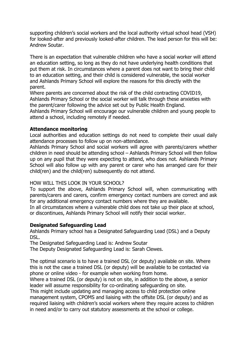supporting children's social workers and the local authority virtual school head (VSH) for looked-after and previously looked-after children. The lead person for this will be: Andrew Soutar.

There is an expectation that vulnerable children who have a social worker will attend an education setting, so long as they do not have underlying health conditions that put them at risk. In circumstances where a parent does not want to bring their child to an education setting, and their child is considered vulnerable, the social worker and Ashlands Primary School will explore the reasons for this directly with the parent.

Where parents are concerned about the risk of the child contracting COVID19, Ashlands Primary School or the social worker will talk through these anxieties with the parent/carer following the advice set out by Public Health England.

Ashlands Primary School will encourage our vulnerable children and young people to attend a school, including remotely if needed.

#### **Attendance monitoring**

Local authorities and education settings do not need to complete their usual daily attendance processes to follow up on non-attendance.

Ashlands Primary School and social workers will agree with parents/carers whether children in need should be attending school – Ashlands Primary School will then follow up on any pupil that they were expecting to attend, who does not. Ashlands Primary School will also follow up with any parent or carer who has arranged care for their child(ren) and the child(ren) subsequently do not attend.

#### HOW WILL THIS LOOK IN YOUR SCHOOL?

To support the above, Ashlands Primary School will, when communicating with parents/carers and carers, confirm emergency contact numbers are correct and ask for any additional emergency contact numbers where they are available.

In all circumstances where a vulnerable child does not take up their place at school, or discontinues, Ashlands Primary School will notify their social worker.

#### **Designated Safeguarding Lead**

Ashlands Primary school has a Designated Safeguarding Lead (DSL) and a Deputy DSL.

The Designated Safeguarding Lead is: Andrew Soutar

The Deputy Designated Safeguarding Lead is: Sarah Clewes.

The optimal scenario is to have a trained DSL (or deputy) available on site. Where this is not the case a trained DSL (or deputy) will be available to be contacted via phone or online video - for example when working from home.

Where a trained DSL (or deputy) is not on site, in addition to the above, a senior leader will assume responsibility for co-ordinating safeguarding on site.

This might include updating and managing access to child protection online management system, CPOMS and liaising with the offsite DSL (or deputy) and as required liaising with children's social workers where they require access to children in need and/or to carry out statutory assessments at the school or college.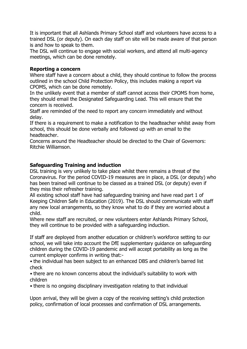It is important that all Ashlands Primary School staff and volunteers have access to a trained DSL (or deputy). On each day staff on site will be made aware of that person is and how to speak to them.

The DSL will continue to engage with social workers, and attend all multi-agency meetings, which can be done remotely.

#### **Reporting a concern**

Where staff have a concern about a child, they should continue to follow the process outlined in the school Child Protection Policy, this includes making a report via CPOMS, which can be done remotely.

In the unlikely event that a member of staff cannot access their CPOMS from home, they should email the Designated Safeguarding Lead. This will ensure that the concern is received.

Staff are reminded of the need to report any concern immediately and without delay.

If there is a requirement to make a notification to the headteacher whilst away from school, this should be done verbally and followed up with an email to the headteacher.

Concerns around the Headteacher should be directed to the Chair of Governors: Ritchie Williamson.

#### **Safeguarding Training and induction**

DSL training is very unlikely to take place whilst there remains a threat of the Coronavirus. For the period COVID-19 measures are in place, a DSL (or deputy) who has been trained will continue to be classed as a trained DSL (or deputy) even if they miss their refresher training.

All existing school staff have had safeguarding training and have read part 1 of Keeping Children Safe in Education (2019). The DSL should communicate with staff any new local arrangements, so they know what to do if they are worried about a child.

Where new staff are recruited, or new volunteers enter Ashlands Primary School, they will continue to be provided with a safeguarding induction.

If staff are deployed from another education or children's workforce setting to our school, we will take into account the DfE supplementary guidance on safeguarding children during the COVID-19 pandemic and will accept portability as long as the current employer confirms in writing that:-

• the individual has been subject to an enhanced DBS and children's barred list check

• there are no known concerns about the individual's suitability to work with children

• there is no ongoing disciplinary investigation relating to that individual

Upon arrival, they will be given a copy of the receiving setting's child protection policy, confirmation of local processes and confirmation of DSL arrangements.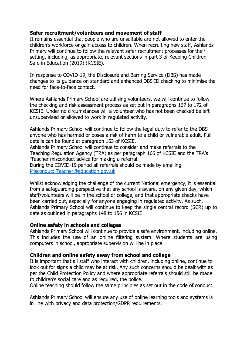#### **Safer recruitment/volunteers and movement of staff**

It remains essential that people who are unsuitable are not allowed to enter the children's workforce or gain access to children. When recruiting new staff, Ashlands Primary will continue to follow the relevant safer recruitment processes for their setting, including, as appropriate, relevant sections in part 3 of Keeping Children Safe in Education (2019) (KCSIE).

In response to COVID-19, the Disclosure and Barring Service (DBS) has made changes to its guidance on standard and enhanced DBS ID checking to minimise the need for face-to-face contact.

Where Ashlands Primary School are utilising volunteers, we will continue to follow the checking and risk assessment process as set out in paragraphs 167 to 172 of KCSIE. Under no circumstances will a volunteer who has not been checked be left unsupervised or allowed to work in regulated activity.

Ashlands Primary School will continue to follow the legal duty to refer to the DBS anyone who has harmed or poses a risk of harm to a child or vulnerable adult. Full details can be found at paragraph 163 of KCSIE.

Ashlands Primary School will continue to consider and make referrals to the Teaching Regulation Agency (TRA) as per paragraph 166 of KCSIE and the TRA's 'Teacher misconduct advice for making a referral.

During the COVID-19 period all referrals should be made by emailing [Misconduct.Teacher@education.gov.uk](mailto:Misconduct.Teacher@education.gov.uk)

Whilst acknowledging the challenge of the current National emergency, it is essential from a safeguarding perspective that any school is aware, on any given day, which staff/volunteers will be in the school or college, and that appropriate checks have been carried out, especially for anyone engaging in regulated activity. As such, Ashlands Primary School will continue to keep the single central record (SCR) up to date as outlined in paragraphs 148 to 156 in KCSIE.

#### **Online safety in schools and colleges**

Ashlands Primary School will continue to provide a safe environment, including online. This includes the use of an online filtering system. Where students are using computers in school, appropriate supervision will be in place.

#### **Children and online safety away from school and college**

It is important that all staff who interact with children, including online, continue to look out for signs a child may be at risk. Any such concerns should be dealt with as per the Child Protection Policy and where appropriate referrals should still be made to children's social care and as required, the police.

Online teaching should follow the same principles as set out in the code of conduct.

Ashlands Primary School will ensure any use of online learning tools and systems is in line with privacy and data protection/GDPR requirements.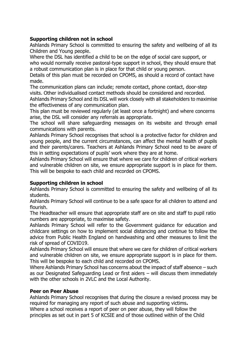### **Supporting children not in school**

Ashlands Primary School is committed to ensuring the safety and wellbeing of all its Children and Young people.

Where the DSL has identified a child to be on the edge of social care support, or who would normally receive pastoral-type support in school, they should ensure that a robust communication plan is in place for that child or young person.

Details of this plan must be recorded on CPOMS, as should a record of contact have made.

The communication plans can include; remote contact, phone contact, door-step visits. Other individualised contact methods should be considered and recorded.

Ashlands Primary School and its DSL will work closely with all stakeholders to maximise the effectiveness of any communication plan.

This plan must be reviewed regularly (at least once a fortnight) and where concerns arise, the DSL will consider any referrals as appropriate.

The school will share safeguarding messages on its website and through email communications with parents.

Ashlands Primary School recognises that school is a protective factor for children and young people, and the current circumstances, can affect the mental health of pupils and their parents/carers. Teachers at Ashlands Primary School need to be aware of this in setting expectations of pupils' work where they are at home.

Ashlands Primary School will ensure that where we care for children of critical workers and vulnerable children on site, we ensure appropriate support is in place for them. This will be bespoke to each child and recorded on CPOMS.

#### **Supporting children in school**

Ashlands Primary School is committed to ensuring the safety and wellbeing of all its students.

Ashlands Primary School will continue to be a safe space for all children to attend and flourish.

The Headteacher will ensure that appropriate staff are on site and staff to pupil ratio numbers are appropriate, to maximise safety.

Ashlands Primary School will refer to the Government guidance for education and childcare settings on how to implement social distancing and continue to follow the advice from Public Health England on handwashing and other measures to limit the risk of spread of COVID19.

Ashlands Primary School will ensure that where we care for children of critical workers and vulnerable children on site, we ensure appropriate support is in place for them. This will be bespoke to each child and recorded on CPOMS.

Where Ashlands Primary School has concerns about the impact of staff absence – such as our Designated Safeguarding Lead or first aiders – will discuss them immediately with the other schools in 2VLC and the Local Authority.

#### **Peer on Peer Abuse**

Ashlands Primary School recognises that during the closure a revised process may be required for managing any report of such abuse and supporting victims**.**

Where a school receives a report of peer on peer abuse, they will follow the principles as set out in part 5 of KCSIE and of those outlined within of the Child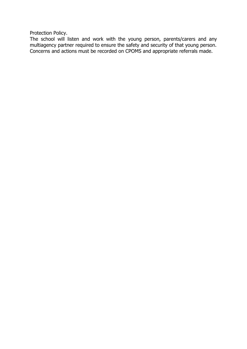Protection Policy.

The school will listen and work with the young person, parents/carers and any multiagency partner required to ensure the safety and security of that young person. Concerns and actions must be recorded on CPOMS and appropriate referrals made.